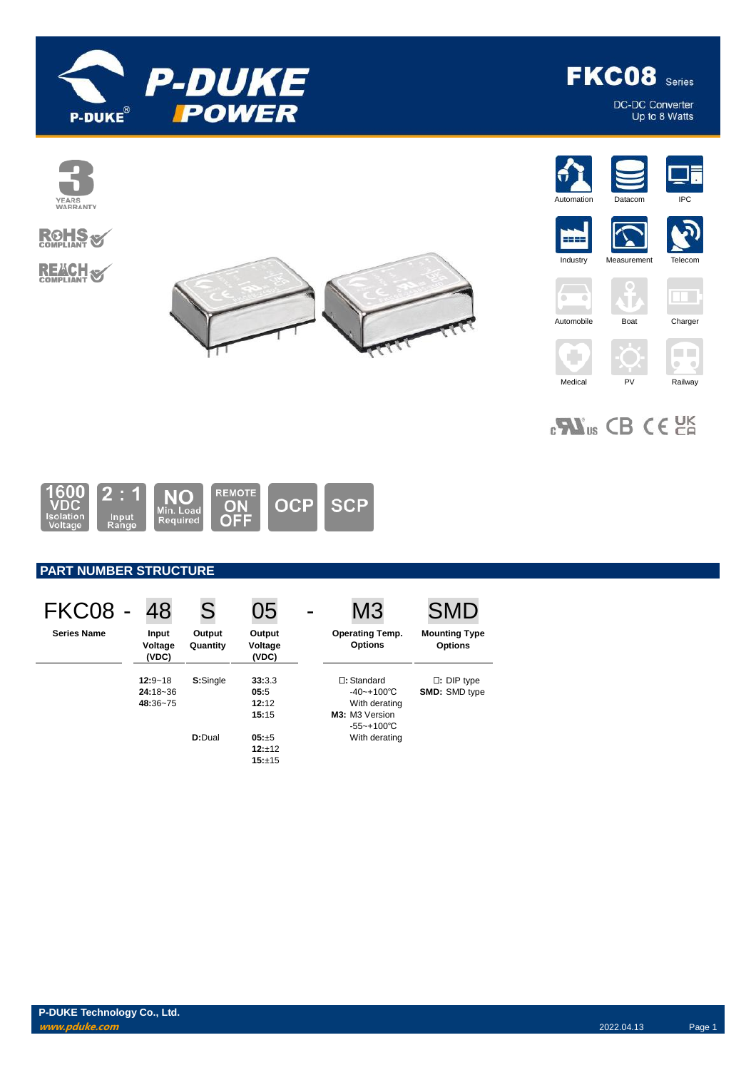

**FKC08** Series

DC-DC Converter<br>Up to 8 Watts



 $_{c}\mathbf{W}_{us}$  CB CE  $_{c}$ 



# **PART NUMBER STRUCTURE**

| <b>FKC08 -</b>     | 48                                      | S                  | 05                               | M <sub>3</sub>                                                                               | <b>SMD</b>                                |
|--------------------|-----------------------------------------|--------------------|----------------------------------|----------------------------------------------------------------------------------------------|-------------------------------------------|
| <b>Series Name</b> | Input<br>Voltage<br>(VDC)               | Output<br>Quantity | Output<br>Voltage<br>(VDC)       | <b>Operating Temp.</b><br><b>Options</b>                                                     | <b>Mounting Type</b><br><b>Options</b>    |
|                    | $12:9 - 18$<br>$24:18 - 36$<br>48:36~75 | S:Single           | 33:3.3<br>05:5<br>12:12<br>15:15 | $\Box$ : Standard<br>$-40 - +100^{\circ}$ C<br>With derating<br>M3: M3 Version<br>-55~+100°C | $\Box$ : DIP type<br><b>SMD: SMD type</b> |
|                    |                                         | D:Dual             | $05: +5$<br>$12:+12$<br>15:±15   | With derating                                                                                |                                           |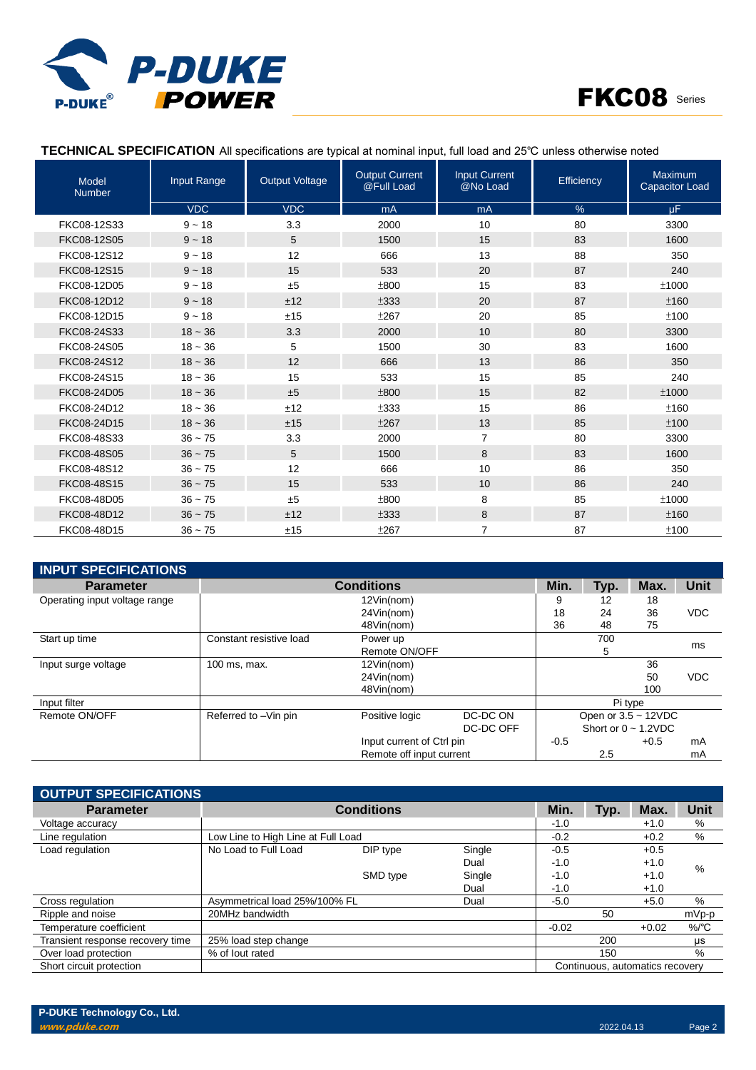



## **TECHNICAL SPECIFICATION** All specifications are typical at nominal input, full load and 25℃ unless otherwise noted

| Model<br><b>Number</b> | Input Range | <b>Output Voltage</b> | <b>Output Current</b><br>@Full Load | <b>Input Current</b><br>@No Load | Efficiency | Maximum<br><b>Capacitor Load</b> |
|------------------------|-------------|-----------------------|-------------------------------------|----------------------------------|------------|----------------------------------|
|                        | <b>VDC</b>  | <b>VDC</b>            | mA                                  | mA                               | $\%$       | uF.                              |
| FKC08-12S33            | $9 - 18$    | 3.3                   | 2000                                | 10                               | 80         | 3300                             |
| FKC08-12S05            | $9 - 18$    | 5                     | 1500                                | 15                               | 83         | 1600                             |
| FKC08-12S12            | $9 - 18$    | 12                    | 666                                 | 13                               | 88         | 350                              |
| FKC08-12S15            | $9 - 18$    | 15                    | 533                                 | 20                               | 87         | 240                              |
| FKC08-12D05            | $9 - 18$    | ±5                    | ±800                                | 15                               | 83         | ±1000                            |
| FKC08-12D12            | $9 - 18$    | ±12                   | ±333                                | 20                               | 87         | ±160                             |
| FKC08-12D15            | $9 - 18$    | ±15                   | ±267                                | 20                               | 85         | ±100                             |
| FKC08-24S33            | $18 - 36$   | 3.3                   | 2000                                | 10                               | 80         | 3300                             |
| FKC08-24S05            | $18 - 36$   | 5                     | 1500                                | 30                               | 83         | 1600                             |
| FKC08-24S12            | $18 - 36$   | 12                    | 666                                 | 13                               | 86         | 350                              |
| FKC08-24S15            | $18 - 36$   | 15                    | 533                                 | 15                               | 85         | 240                              |
| FKC08-24D05            | $18 - 36$   | ±5                    | ±800                                | 15                               | 82         | ±1000                            |
| FKC08-24D12            | $18 - 36$   | ±12                   | ±333                                | 15                               | 86         | ±160                             |
| FKC08-24D15            | $18 - 36$   | ±15                   | ±267                                | 13                               | 85         | ±100                             |
| FKC08-48S33            | $36 - 75$   | 3.3                   | 2000                                | 7                                | 80         | 3300                             |
| FKC08-48S05            | $36 - 75$   | 5                     | 1500                                | 8                                | 83         | 1600                             |
| FKC08-48S12            | $36 - 75$   | 12                    | 666                                 | 10                               | 86         | 350                              |
| FKC08-48S15            | $36 - 75$   | 15                    | 533                                 | 10                               | 86         | 240                              |
| FKC08-48D05            | $36 - 75$   | ±5                    | ±800                                | 8                                | 85         | ±1000                            |
| FKC08-48D12            | $36 - 75$   | ±12                   | ±333                                | 8                                | 87         | ±160                             |
| FKC08-48D15            | $36 - 75$   | ±15                   | ±267                                | $\overline{7}$                   | 87         | ±100                             |

| <b>INPUT SPECIFICATIONS</b>   |                         |                           |           |         |      |                           |            |
|-------------------------------|-------------------------|---------------------------|-----------|---------|------|---------------------------|------------|
| <b>Parameter</b>              |                         | <b>Conditions</b>         |           | Min.    | Typ. | Max.                      | Unit       |
| Operating input voltage range |                         | 12Vin(nom)                |           | 9       | 12   | 18                        |            |
|                               |                         | 24Vin(nom)                |           | 18      | 24   | 36                        | <b>VDC</b> |
|                               |                         | 48Vin(nom)                |           | 36      | 48   | 75                        |            |
| Start up time                 | Constant resistive load | Power up                  |           |         | 700  |                           | ms         |
|                               |                         | Remote ON/OFF             |           |         | 5    |                           |            |
| Input surge voltage           | 100 ms, max.            | 12Vin(nom)                |           |         |      | 36                        |            |
|                               |                         | 24Vin(nom)                |           |         |      | 50                        | <b>VDC</b> |
|                               |                         | 48Vin(nom)                |           |         |      | 100                       |            |
| Input filter                  |                         |                           |           | Pi type |      |                           |            |
| Remote ON/OFF                 | Referred to -Vin pin    | Positive logic            | DC-DC ON  |         |      | Open or $3.5 \sim 12$ VDC |            |
|                               |                         |                           | DC-DC OFF |         |      | Short or $0 \sim 1.2$ VDC |            |
|                               |                         | Input current of Ctrl pin |           | $-0.5$  |      | $+0.5$                    | mA         |
|                               |                         | Remote off input current  |           |         | 2.5  |                           | mA         |

| <b>OUTPUT SPECIFICATIONS</b>     |                                    |                   |        |         |      |                                 |          |
|----------------------------------|------------------------------------|-------------------|--------|---------|------|---------------------------------|----------|
| <b>Parameter</b>                 |                                    | <b>Conditions</b> |        | Min.    | Typ. | Max.                            | Unit     |
| Voltage accuracy                 |                                    |                   |        | $-1.0$  |      | $+1.0$                          | %        |
| Line regulation                  | Low Line to High Line at Full Load |                   |        | $-0.2$  |      | $+0.2$                          | $\%$     |
| Load regulation                  | No Load to Full Load               | DIP type          | Single | $-0.5$  |      | $+0.5$                          |          |
|                                  |                                    |                   | Dual   | $-1.0$  |      | $+1.0$                          | %        |
|                                  |                                    | SMD type          | Single | $-1.0$  |      | $+1.0$                          |          |
|                                  |                                    |                   | Dual   | $-1.0$  |      | $+1.0$                          |          |
| Cross regulation                 | Asymmetrical load 25%/100% FL      |                   | Dual   | $-5.0$  |      | $+5.0$                          | %        |
| Ripple and noise                 | 20MHz bandwidth                    |                   |        |         | 50   |                                 | mVp-p    |
| Temperature coefficient          |                                    |                   |        | $-0.02$ |      | $+0.02$                         | $\%$ /°C |
| Transient response recovery time | 25% load step change               |                   |        |         | 200  |                                 | μs       |
| Over load protection             | % of lout rated                    |                   |        |         | 150  |                                 | %        |
| Short circuit protection         |                                    |                   |        |         |      | Continuous, automatics recovery |          |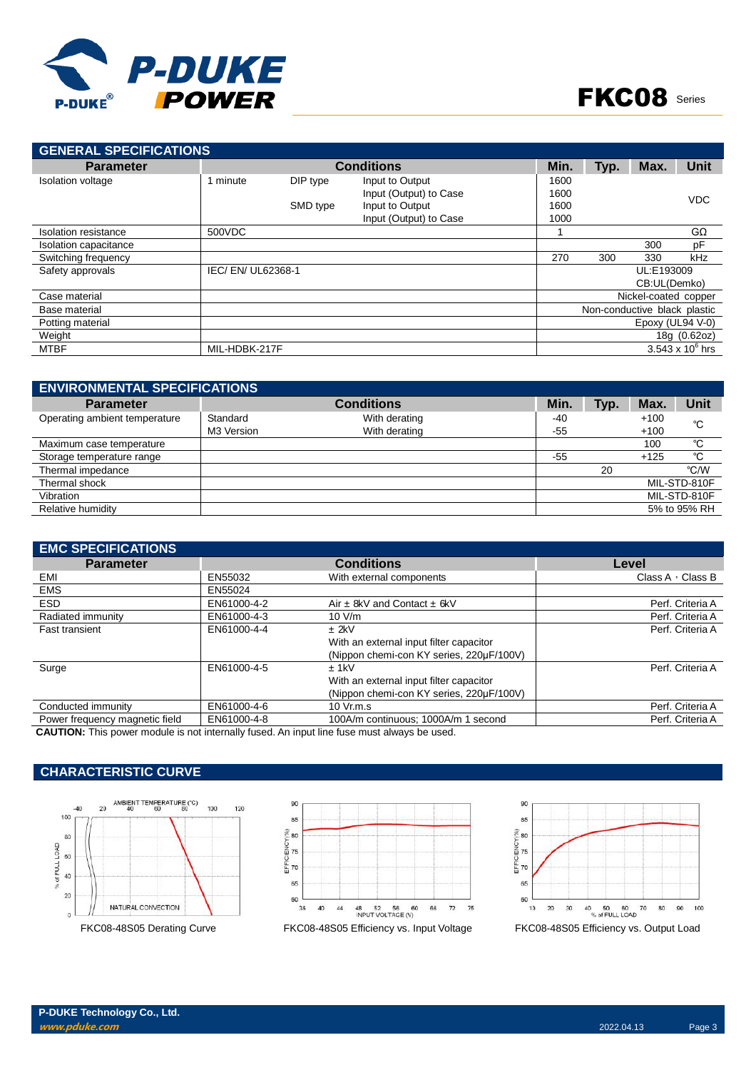

| <b>GENERAL SPECIFICATIONS</b> |                    |          |                        |      |      |                              |                         |
|-------------------------------|--------------------|----------|------------------------|------|------|------------------------------|-------------------------|
| <b>Parameter</b>              |                    |          | <b>Conditions</b>      | Min. | Typ. | Max.                         | <b>Unit</b>             |
| <b>Isolation voltage</b>      | 1 minute           | DIP type | Input to Output        | 1600 |      |                              |                         |
|                               |                    |          | Input (Output) to Case | 1600 |      |                              | <b>VDC</b>              |
|                               |                    | SMD type | Input to Output        | 1600 |      |                              |                         |
|                               |                    |          | Input (Output) to Case | 1000 |      |                              |                         |
| Isolation resistance          | 500VDC             |          |                        |      |      |                              | GΩ                      |
| Isolation capacitance         |                    |          |                        |      |      | 300                          | pF                      |
| Switching frequency           |                    |          |                        | 270  | 300  | 330                          | kHz                     |
| Safety approvals              | IEC/ EN/ UL62368-1 |          |                        |      |      | UL:E193009                   |                         |
|                               |                    |          |                        |      |      | CB:UL(Demko)                 |                         |
| Case material                 |                    |          |                        |      |      | Nickel-coated copper         |                         |
| Base material                 |                    |          |                        |      |      | Non-conductive black plastic |                         |
| Potting material              |                    |          |                        |      |      | Epoxy (UL94 V-0)             |                         |
| Weight                        |                    |          |                        |      |      |                              | 18g (0.62oz)            |
| <b>MTBF</b>                   | MIL-HDBK-217F      |          |                        |      |      |                              | $3.543 \times 10^6$ hrs |

| <b>ENVIRONMENTAL SPECIFICATIONS</b> |            |                   |       |      |        |              |
|-------------------------------------|------------|-------------------|-------|------|--------|--------------|
| <b>Parameter</b>                    |            | <b>Conditions</b> | Min.  | Typ. | Max.   | <b>Unit</b>  |
| Operating ambient temperature       | Standard   | With derating     | $-40$ |      | $+100$ | °C           |
|                                     | M3 Version | With derating     | -55   |      | $+100$ |              |
| Maximum case temperature            |            |                   |       |      | 100    | °C           |
| Storage temperature range           |            |                   | -55   |      | $+125$ | °C           |
| Thermal impedance                   |            |                   |       | 20   |        | °C/W         |
| Thermal shock                       |            |                   |       |      |        | MIL-STD-810F |
| Vibration                           |            |                   |       |      |        | MIL-STD-810F |
| Relative humidity                   |            |                   |       |      |        | 5% to 95% RH |

| <b>EMC SPECIFICATIONS</b>      |             |                                          |                         |
|--------------------------------|-------------|------------------------------------------|-------------------------|
| <b>Parameter</b>               |             | <b>Conditions</b>                        | Level                   |
| EMI                            | EN55032     | With external components                 | Class A $\cdot$ Class B |
| <b>EMS</b>                     | EN55024     |                                          |                         |
| ESD.                           | EN61000-4-2 | Air $\pm$ 8kV and Contact $\pm$ 6kV      | Perf. Criteria A        |
| Radiated immunity              | EN61000-4-3 | 10 V/m                                   | Perf. Criteria A        |
| <b>Fast transient</b>          | EN61000-4-4 | $±$ 2kV                                  | Perf. Criteria A        |
|                                |             | With an external input filter capacitor  |                         |
|                                |             | (Nippon chemi-con KY series, 220µF/100V) |                         |
| Surge                          | EN61000-4-5 | $±$ 1kV                                  | Perf. Criteria A        |
|                                |             | With an external input filter capacitor  |                         |
|                                |             | (Nippon chemi-con KY series, 220µF/100V) |                         |
| Conducted immunity             | EN61000-4-6 | 10 Vr.m.s                                | Perf. Criteria A        |
| Power frequency magnetic field | EN61000-4-8 | 100A/m continuous: 1000A/m 1 second      | Perf. Criteria A        |
|                                |             |                                          |                         |

**CAUTION:** This power module is not internally fused. An input line fuse must always be used.

## **CHARACTERISTIC CURVE**





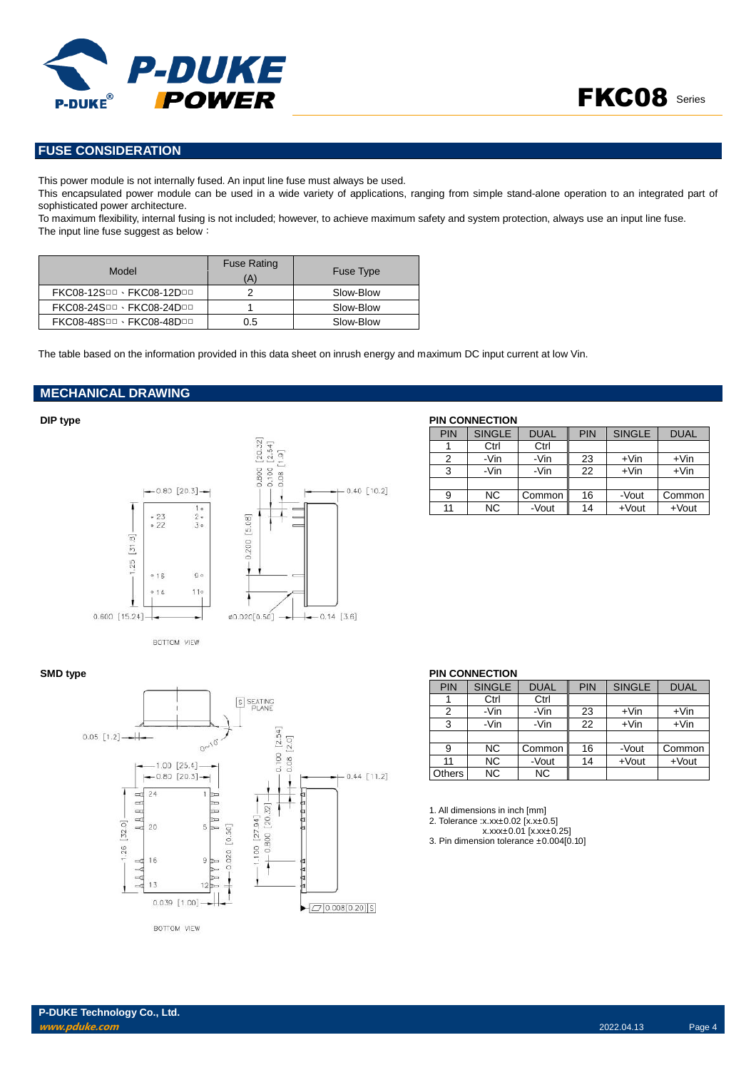

## **FUSE CONSIDERATION**

This power module is not internally fused. An input line fuse must always be used.

This encapsulated power module can be used in a wide variety of applications, ranging from simple stand-alone operation to an integrated part of sophisticated power architecture.

To maximum flexibility, internal fusing is not included; however, to achieve maximum safety and system protection, always use an input line fuse. The input line fuse suggest as below:

| Model                     | <b>Fuse Rating</b><br>(A) | <b>Fuse Type</b> |
|---------------------------|---------------------------|------------------|
| FKC08-12SDD · FKC08-12DDD |                           | Slow-Blow        |
| FKC08-24SOD · FKC08-24DOD |                           | Slow-Blow        |
| FKC08-48SOD · FKC08-48DOD | 0.5                       | Slow-Blow        |

The table based on the information provided in this data sheet on inrush energy and maximum DC input current at low Vin.

#### **MECHANICAL DRAWING**



BOTTOM VIEW



| PIN | <b>SINGLE</b> | <b>DUAL</b> | <b>PIN</b> | <b>SINGLE</b> | <b>DUAL</b> |
|-----|---------------|-------------|------------|---------------|-------------|
|     | Ctrl          | Ctrl        |            |               |             |
| 2   | -Vin          | -Vin        | 23         | $+V$ in       | $+V$ in     |
| 3   | -Vin          | -Vin        | 22         | $+V$ in       | $+V$ in     |
|     |               |             |            |               |             |
| 9   | NС            | Common      | 16         | -Vout         | Common      |
| 11  | <b>NC</b>     | -Vout       | 14         | $+$ Vout      | $+$ Vout    |

#### **SMD type PIN CONNECTION**

| PIN    | <b>SINGLE</b> | <b>DUAL</b> | PIN | <b>SINGLE</b> | <b>DUAL</b> |
|--------|---------------|-------------|-----|---------------|-------------|
|        | Ctrl          | Ctrl        |     |               |             |
| 2      | -Vin          | -Vin        | 23  | $+V$ in       | $+V$ in     |
| 3      | -Vin          | -Vin        | 22  | $+V$ in       | $+V$ in     |
|        |               |             |     |               |             |
| 9      | NC.           | Common      | 16  | -Vout         | Common      |
| 11     | NC.           | -Vout       | 14  | $+$ Vout      | $+$ Vout    |
| Others | NC.           | <b>NC</b>   |     |               |             |

1. All dimensions in inch [mm]

2. Tolerance :x.xx±0.02 [x.x±0.5]

x.xxx±0.01 [x.xx±0.25] 3. Pin dimension tolerance ±0.004[0.10]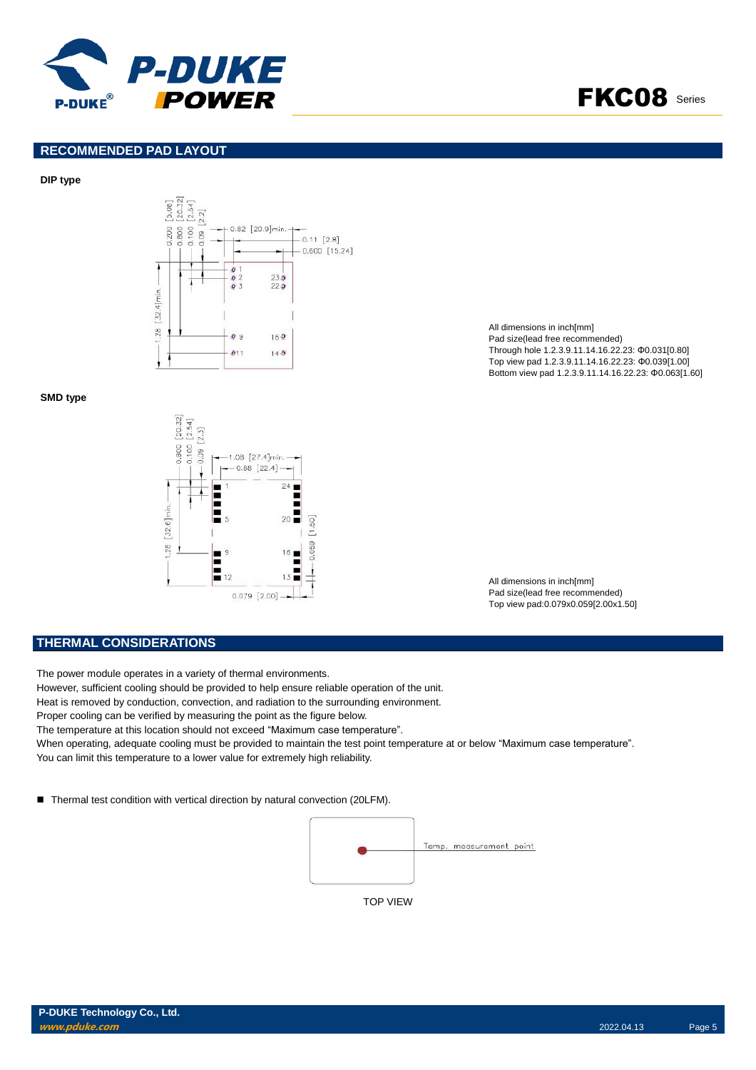



#### **RECOMMENDED PAD LAYOUT**

#### **DIP type**



### **SMD type**



All dimensions in inch[mm] Pad size(lead free recommended) Through hole 1.2.3.9.11.14.16.22.23: Φ0.031[0.80] Top view pad 1.2.3.9.11.14.16.22.23: Φ0.039[1.00] Bottom view pad 1.2.3.9.11.14.16.22.23: Φ0.063[1.60]

All dimensions in inch[mm] Pad size(lead free recommended) Top view pad:0.079x0.059[2.00x1.50]

### **THERMAL CONSIDERATIONS**

The power module operates in a variety of thermal environments.

However, sufficient cooling should be provided to help ensure reliable operation of the unit.

Heat is removed by conduction, convection, and radiation to the surrounding environment.

Proper cooling can be verified by measuring the point as the figure below.

The temperature at this location should not exceed "Maximum case temperature".

When operating, adequate cooling must be provided to maintain the test point temperature at or below "Maximum case temperature".

You can limit this temperature to a lower value for extremely high reliability.

■ Thermal test condition with vertical direction by natural convection (20LFM).